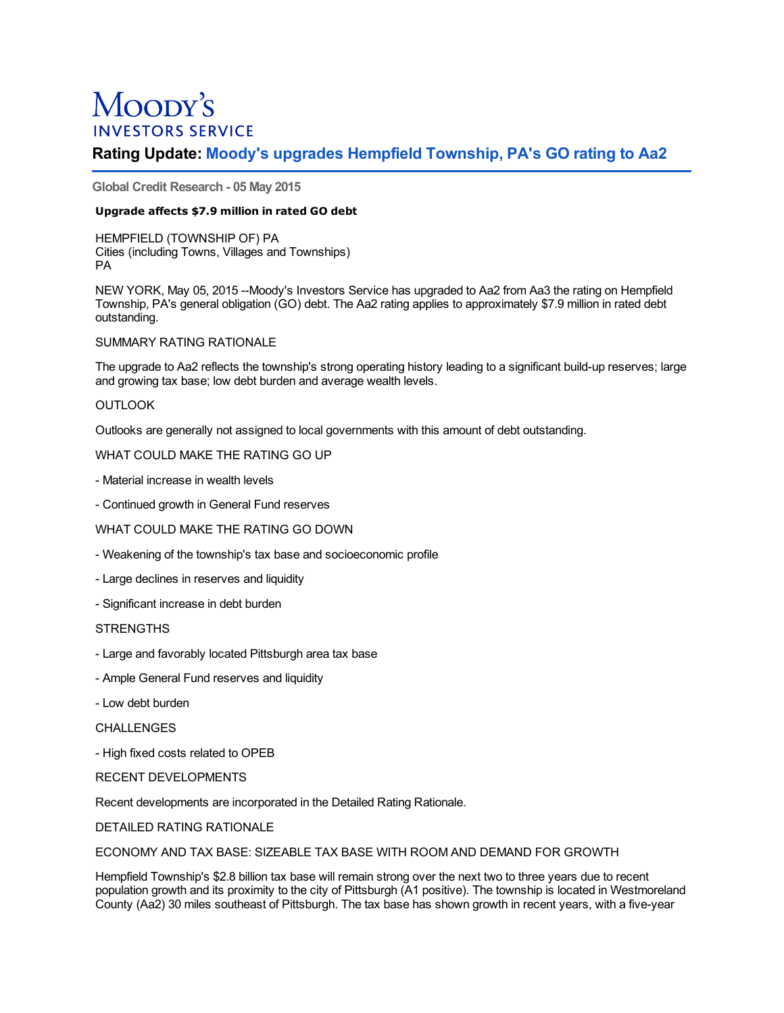# Moopy's **INVESTORS SERVICE**

## **Rating Update: Moody's upgrades Hempfield Township, PA's GO rating to Aa2**

**Global Credit Research - 05 May 2015**

## **Upgrade affects \$7.9 million in rated GO debt**

HEMPFIELD (TOWNSHIP OF) PA Cities (including Towns, Villages and Townships) PA

NEW YORK, May 05, 2015 --Moody's Investors Service has upgraded to Aa2 from Aa3 the rating on Hempfield Township, PA's general obligation (GO) debt. The Aa2 rating applies to approximately \$7.9 million in rated debt outstanding.

## SUMMARY RATING RATIONALE

The upgrade to Aa2 reflects the township's strong operating history leading to a significant build-up reserves; large and growing tax base; low debt burden and average wealth levels.

## **OUTLOOK**

Outlooks are generally not assigned to local governments with this amount of debt outstanding.

## WHAT COULD MAKE THE RATING GO UP

- Material increase in wealth levels
- Continued growth in General Fund reserves

## WHAT COULD MAKE THE RATING GO DOWN

- Weakening of the township's tax base and socioeconomic profile
- Large declines in reserves and liquidity
- Significant increase in debt burden

## **STRENGTHS**

- Large and favorably located Pittsburgh area tax base
- Ample General Fund reserves and liquidity
- Low debt burden

CHALL FNGES

- High fixed costs related to OPEB

## RECENT DEVELOPMENTS

Recent developments are incorporated in the Detailed Rating Rationale.

DETAILED RATING RATIONALE

ECONOMY AND TAX BASE: SIZEABLE TAX BASE WITH ROOM AND DEMAND FOR GROWTH

Hempfield Township's \$2.8 billion tax base will remain strong over the next two to three years due to recent population growth and its proximity to the city of Pittsburgh (A1 positive). The township is located in Westmoreland County (Aa2) 30 miles southeast of Pittsburgh. The tax base has shown growth in recent years, with a five-year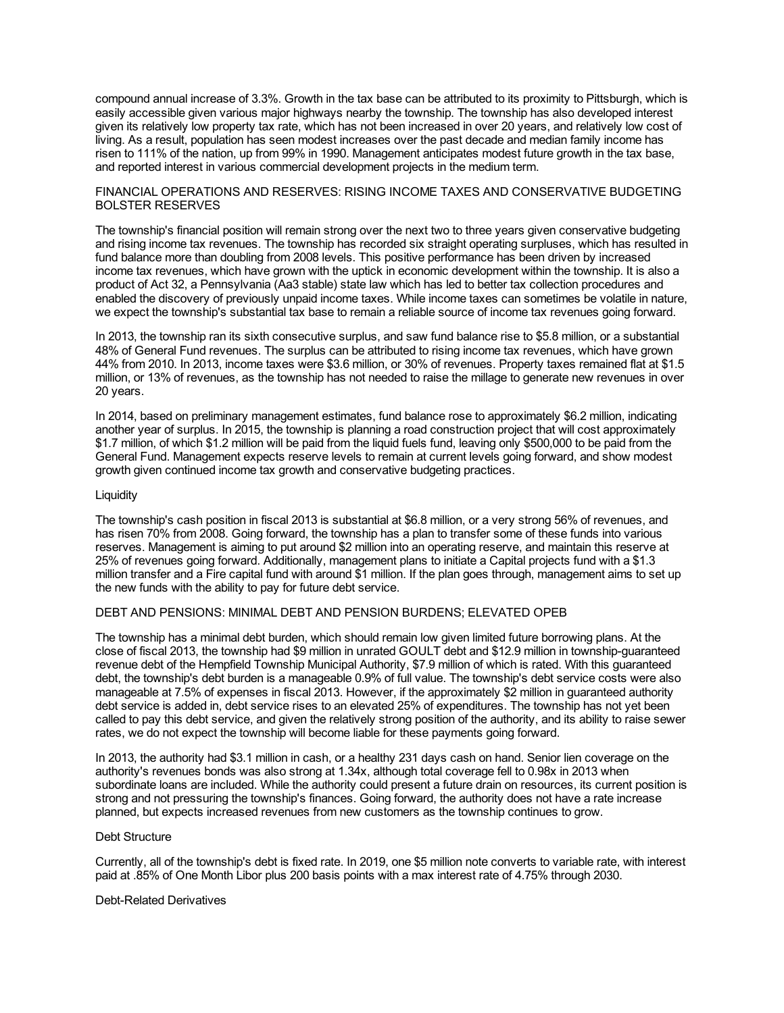compound annual increase of 3.3%. Growth in the tax base can be attributed to its proximity to Pittsburgh, which is easily accessible given various major highways nearby the township. The township has also developed interest given its relatively low property tax rate, which has not been increased in over 20 years, and relatively low cost of living. As a result, population has seen modest increases over the past decade and median family income has risen to 111% of the nation, up from 99% in 1990. Management anticipates modest future growth in the tax base, and reported interest in various commercial development projects in the medium term.

#### FINANCIAL OPERATIONS AND RESERVES: RISING INCOME TAXES AND CONSERVATIVE BUDGETING BOLSTER RESERVES

The township's financial position will remain strong over the next two to three years given conservative budgeting and rising income tax revenues. The township has recorded six straight operating surpluses, which has resulted in fund balance more than doubling from 2008 levels. This positive performance has been driven by increased income tax revenues, which have grown with the uptick in economic development within the township. It is also a product of Act 32, a Pennsylvania (Aa3 stable) state law which has led to better tax collection procedures and enabled the discovery of previously unpaid income taxes. While income taxes can sometimes be volatile in nature, we expect the township's substantial tax base to remain a reliable source of income tax revenues going forward.

In 2013, the township ran its sixth consecutive surplus, and saw fund balance rise to \$5.8 million, or a substantial 48% of General Fund revenues. The surplus can be attributed to rising income tax revenues, which have grown 44% from 2010. In 2013, income taxes were \$3.6 million, or 30% of revenues. Property taxes remained flat at \$1.5 million, or 13% of revenues, as the township has not needed to raise the millage to generate new revenues in over 20 years.

In 2014, based on preliminary management estimates, fund balance rose to approximately \$6.2 million, indicating another year of surplus. In 2015, the township is planning a road construction project that will cost approximately \$1.7 million, of which \$1.2 million will be paid from the liquid fuels fund, leaving only \$500,000 to be paid from the General Fund. Management expects reserve levels to remain at current levels going forward, and show modest growth given continued income tax growth and conservative budgeting practices.

#### Liquidity

The township's cash position in fiscal 2013 is substantial at \$6.8 million, or a very strong 56% of revenues, and has risen 70% from 2008. Going forward, the township has a plan to transfer some of these funds into various reserves. Management is aiming to put around \$2 million into an operating reserve, and maintain this reserve at 25% of revenues going forward. Additionally, management plans to initiate a Capital projects fund with a \$1.3 million transfer and a Fire capital fund with around \$1 million. If the plan goes through, management aims to set up the new funds with the ability to pay for future debt service.

## DEBT AND PENSIONS: MINIMAL DEBT AND PENSION BURDENS; ELEVATED OPEB

The township has a minimal debt burden, which should remain low given limited future borrowing plans. At the close of fiscal 2013, the township had \$9 million in unrated GOULT debt and \$12.9 million in township-guaranteed revenue debt of the Hempfield Township Municipal Authority, \$7.9 million of which is rated. With this guaranteed debt, the township's debt burden is a manageable 0.9% of full value. The township's debt service costs were also manageable at 7.5% of expenses in fiscal 2013. However, if the approximately \$2 million in guaranteed authority debt service is added in, debt service rises to an elevated 25% of expenditures. The township has not yet been called to pay this debt service, and given the relatively strong position of the authority, and its ability to raise sewer rates, we do not expect the township will become liable for these payments going forward.

In 2013, the authority had \$3.1 million in cash, or a healthy 231 days cash on hand. Senior lien coverage on the authority's revenues bonds was also strong at 1.34x, although total coverage fell to 0.98x in 2013 when subordinate loans are included. While the authority could present a future drain on resources, its current position is strong and not pressuring the township's finances. Going forward, the authority does not have a rate increase planned, but expects increased revenues from new customers as the township continues to grow.

## Debt Structure

Currently, all of the township's debt is fixed rate. In 2019, one \$5 million note converts to variable rate, with interest paid at .85% of One Month Libor plus 200 basis points with a max interest rate of 4.75% through 2030.

#### Debt-Related Derivatives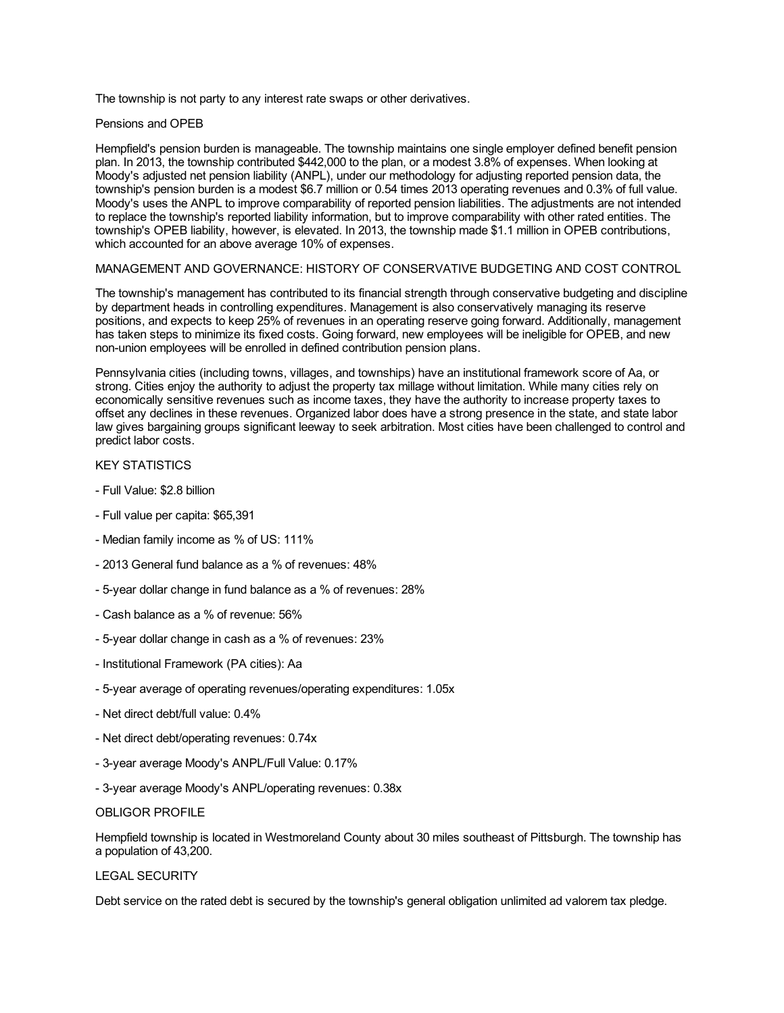The township is not party to any interest rate swaps or other derivatives.

#### Pensions and OPEB

Hempfield's pension burden is manageable. The township maintains one single employer defined benefit pension plan. In 2013, the township contributed \$442,000 to the plan, or a modest 3.8% of expenses. When looking at Moody's adjusted net pension liability (ANPL), under our methodology for adjusting reported pension data, the township's pension burden is a modest \$6.7 million or 0.54 times 2013 operating revenues and 0.3% of full value. Moody's uses the ANPL to improve comparability of reported pension liabilities. The adjustments are not intended to replace the township's reported liability information, but to improve comparability with other rated entities. The township's OPEB liability, however, is elevated. In 2013, the township made \$1.1 million in OPEB contributions, which accounted for an above average 10% of expenses.

## MANAGEMENT AND GOVERNANCE: HISTORY OF CONSERVATIVE BUDGETING AND COST CONTROL

The township's management has contributed to its financial strength through conservative budgeting and discipline by department heads in controlling expenditures. Management is also conservatively managing its reserve positions, and expects to keep 25% of revenues in an operating reserve going forward. Additionally, management has taken steps to minimize its fixed costs. Going forward, new employees will be ineligible for OPEB, and new non-union employees will be enrolled in defined contribution pension plans.

Pennsylvania cities (including towns, villages, and townships) have an institutional framework score of Aa, or strong. Cities enjoy the authority to adjust the property tax millage without limitation. While many cities rely on economically sensitive revenues such as income taxes, they have the authority to increase property taxes to offset any declines in these revenues. Organized labor does have a strong presence in the state, and state labor law gives bargaining groups significant leeway to seek arbitration. Most cities have been challenged to control and predict labor costs.

#### KEY STATISTICS

- Full Value: \$2.8 billion
- Full value per capita: \$65,391
- Median family income as % of US: 111%
- 2013 General fund balance as a % of revenues: 48%
- 5-year dollar change in fund balance as a % of revenues: 28%
- Cash balance as a % of revenue: 56%
- 5-year dollar change in cash as a % of revenues: 23%
- Institutional Framework (PA cities): Aa
- 5-year average of operating revenues/operating expenditures: 1.05x
- Net direct debt/full value: 0.4%
- Net direct debt/operating revenues: 0.74x
- 3-year average Moody's ANPL/Full Value: 0.17%
- 3-year average Moody's ANPL/operating revenues: 0.38x

#### OBLIGOR PROFILE

Hempfield township is located in Westmoreland County about 30 miles southeast of Pittsburgh. The township has a population of 43,200.

#### LEGAL SECURITY

Debt service on the rated debt is secured by the township's general obligation unlimited ad valorem tax pledge.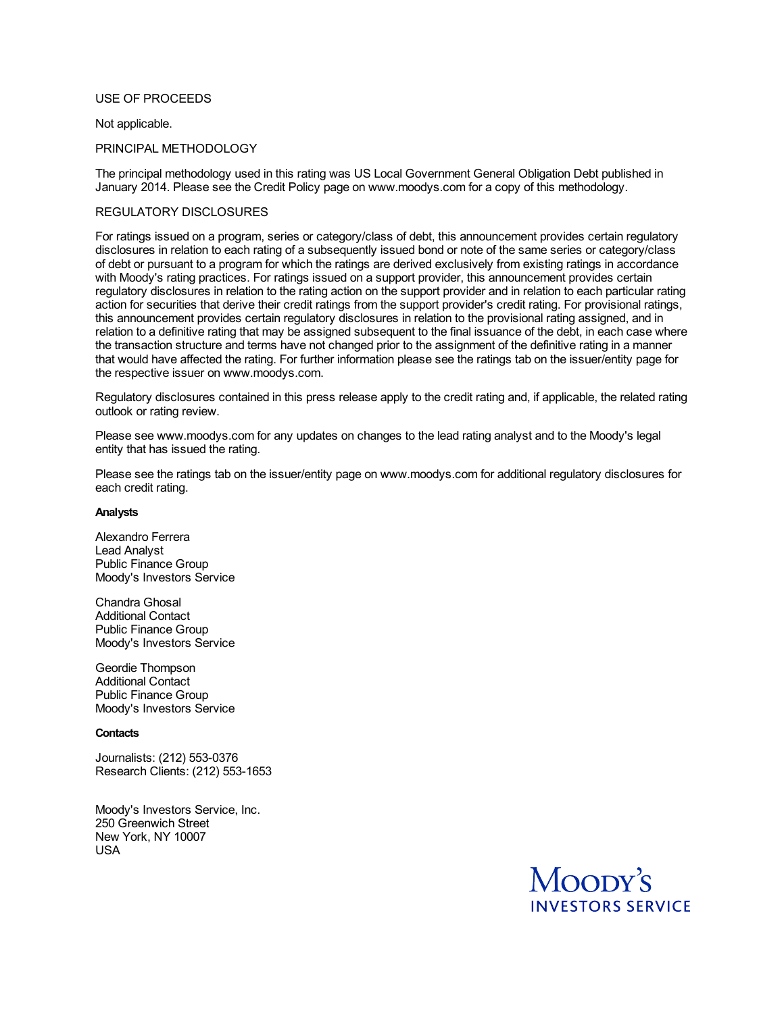## USE OF PROCEEDS

#### Not applicable.

#### PRINCIPAL METHODOLOGY

The principal methodology used in this rating was US Local Government General Obligation Debt published in January 2014. Please see the Credit Policy page on www.moodys.com for a copy of this methodology.

## REGULATORY DISCLOSURES

For ratings issued on a program, series or category/class of debt, this announcement provides certain regulatory disclosures in relation to each rating of a subsequently issued bond or note of the same series or category/class of debt or pursuant to a program for which the ratings are derived exclusively from existing ratings in accordance with Moody's rating practices. For ratings issued on a support provider, this announcement provides certain regulatory disclosures in relation to the rating action on the support provider and in relation to each particular rating action for securities that derive their credit ratings from the support provider's credit rating. For provisional ratings, this announcement provides certain regulatory disclosures in relation to the provisional rating assigned, and in relation to a definitive rating that may be assigned subsequent to the final issuance of the debt, in each case where the transaction structure and terms have not changed prior to the assignment of the definitive rating in a manner that would have affected the rating. For further information please see the ratings tab on the issuer/entity page for the respective issuer on www.moodys.com.

Regulatory disclosures contained in this press release apply to the credit rating and, if applicable, the related rating outlook or rating review.

Please see www.moodys.com for any updates on changes to the lead rating analyst and to the Moody's legal entity that has issued the rating.

Please see the ratings tab on the issuer/entity page on www.moodys.com for additional regulatory disclosures for each credit rating.

#### **Analysts**

Alexandro Ferrera Lead Analyst Public Finance Group Moody's Investors Service

Chandra Ghosal Additional Contact Public Finance Group Moody's Investors Service

Geordie Thompson Additional Contact Public Finance Group Moody's Investors Service

#### **Contacts**

Journalists: (212) 553-0376 Research Clients: (212) 553-1653

Moody's Investors Service, Inc. 250 Greenwich Street New York, NY 10007 USA

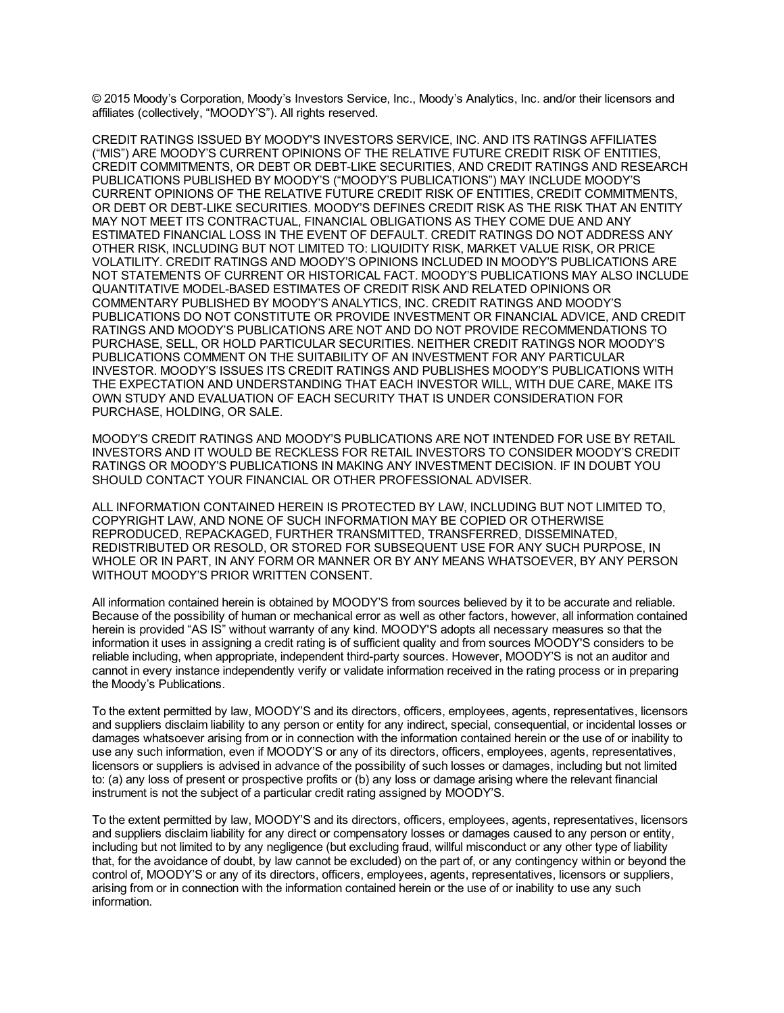© 2015 Moody's Corporation, Moody's Investors Service, Inc., Moody's Analytics, Inc. and/or their licensors and affiliates (collectively, "MOODY'S"). All rights reserved.

CREDIT RATINGS ISSUED BY MOODY'S INVESTORS SERVICE, INC. AND ITS RATINGS AFFILIATES ("MIS") ARE MOODY'S CURRENT OPINIONS OF THE RELATIVE FUTURE CREDIT RISK OF ENTITIES, CREDIT COMMITMENTS, OR DEBT OR DEBT-LIKE SECURITIES, AND CREDIT RATINGS AND RESEARCH PUBLICATIONS PUBLISHED BY MOODY'S ("MOODY'S PUBLICATIONS") MAY INCLUDE MOODY'S CURRENT OPINIONS OF THE RELATIVE FUTURE CREDIT RISK OF ENTITIES, CREDIT COMMITMENTS, OR DEBT OR DEBT-LIKE SECURITIES. MOODY'S DEFINES CREDIT RISK AS THE RISK THAT AN ENTITY MAY NOT MEET ITS CONTRACTUAL, FINANCIAL OBLIGATIONS AS THEY COME DUE AND ANY ESTIMATED FINANCIAL LOSS IN THE EVENT OF DEFAULT. CREDIT RATINGS DO NOT ADDRESS ANY OTHER RISK, INCLUDING BUT NOT LIMITED TO: LIQUIDITY RISK, MARKET VALUE RISK, OR PRICE VOLATILITY. CREDIT RATINGS AND MOODY'S OPINIONS INCLUDED IN MOODY'S PUBLICATIONS ARE NOT STATEMENTS OF CURRENT OR HISTORICAL FACT. MOODY'S PUBLICATIONS MAY ALSO INCLUDE QUANTITATIVE MODEL-BASED ESTIMATES OF CREDIT RISK AND RELATED OPINIONS OR COMMENTARY PUBLISHED BY MOODY'S ANALYTICS, INC. CREDIT RATINGS AND MOODY'S PUBLICATIONS DO NOT CONSTITUTE OR PROVIDE INVESTMENT OR FINANCIAL ADVICE, AND CREDIT RATINGS AND MOODY'S PUBLICATIONS ARE NOT AND DO NOT PROVIDE RECOMMENDATIONS TO PURCHASE, SELL, OR HOLD PARTICULAR SECURITIES. NEITHER CREDIT RATINGS NOR MOODY'S PUBLICATIONS COMMENT ON THE SUITABILITY OF AN INVESTMENT FOR ANY PARTICULAR INVESTOR. MOODY'S ISSUES ITS CREDIT RATINGS AND PUBLISHES MOODY'S PUBLICATIONS WITH THE EXPECTATION AND UNDERSTANDING THAT EACH INVESTOR WILL, WITH DUE CARE, MAKE ITS OWN STUDY AND EVALUATION OF EACH SECURITY THAT IS UNDER CONSIDERATION FOR PURCHASE, HOLDING, OR SALE.

MOODY'S CREDIT RATINGS AND MOODY'S PUBLICATIONS ARE NOT INTENDED FOR USE BY RETAIL INVESTORS AND IT WOULD BE RECKLESS FOR RETAIL INVESTORS TO CONSIDER MOODY'S CREDIT RATINGS OR MOODY'S PUBLICATIONS IN MAKING ANY INVESTMENT DECISION. IF IN DOUBT YOU SHOULD CONTACT YOUR FINANCIAL OR OTHER PROFESSIONAL ADVISER.

ALL INFORMATION CONTAINED HEREIN IS PROTECTED BY LAW, INCLUDING BUT NOT LIMITED TO, COPYRIGHT LAW, AND NONE OF SUCH INFORMATION MAY BE COPIED OR OTHERWISE REPRODUCED, REPACKAGED, FURTHER TRANSMITTED, TRANSFERRED, DISSEMINATED, REDISTRIBUTED OR RESOLD, OR STORED FOR SUBSEQUENT USE FOR ANY SUCH PURPOSE, IN WHOLE OR IN PART, IN ANY FORM OR MANNER OR BY ANY MEANS WHATSOEVER, BY ANY PERSON WITHOUT MOODY'S PRIOR WRITTEN CONSENT.

All information contained herein is obtained by MOODY'S from sources believed by it to be accurate and reliable. Because of the possibility of human or mechanical error as well as other factors, however, all information contained herein is provided "AS IS" without warranty of any kind. MOODY'S adopts all necessary measures so that the information it uses in assigning a credit rating is of sufficient quality and from sources MOODY'S considers to be reliable including, when appropriate, independent third-party sources. However, MOODY'S is not an auditor and cannot in every instance independently verify or validate information received in the rating process or in preparing the Moody's Publications.

To the extent permitted by law, MOODY'S and its directors, officers, employees, agents, representatives, licensors and suppliers disclaim liability to any person or entity for any indirect, special, consequential, or incidental losses or damages whatsoever arising from or in connection with the information contained herein or the use of or inability to use any such information, even if MOODY'S or any of its directors, officers, employees, agents, representatives, licensors or suppliers is advised in advance of the possibility of such losses or damages, including but not limited to: (a) any loss of present or prospective profits or (b) any loss or damage arising where the relevant financial instrument is not the subject of a particular credit rating assigned by MOODY'S.

To the extent permitted by law, MOODY'S and its directors, officers, employees, agents, representatives, licensors and suppliers disclaim liability for any direct or compensatory losses or damages caused to any person or entity, including but not limited to by any negligence (but excluding fraud, willful misconduct or any other type of liability that, for the avoidance of doubt, by law cannot be excluded) on the part of, or any contingency within or beyond the control of, MOODY'S or any of its directors, officers, employees, agents, representatives, licensors or suppliers, arising from or in connection with the information contained herein or the use of or inability to use any such information.